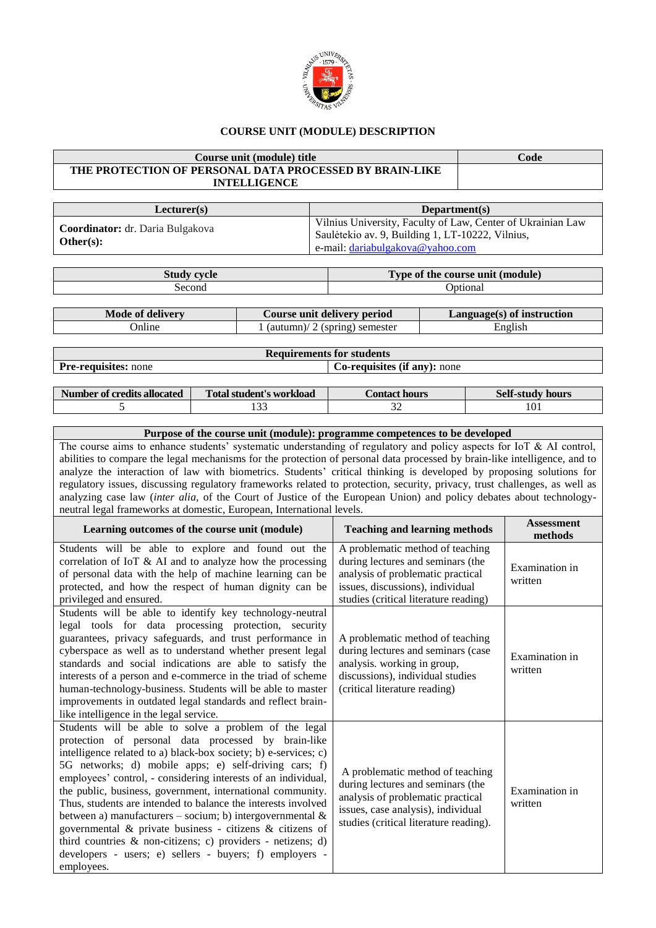

## **COURSE UNIT (MODULE) DESCRIPTION**

| Course unit (module) title                                                     | Code                                                                                                                                                |  |  |  |  |
|--------------------------------------------------------------------------------|-----------------------------------------------------------------------------------------------------------------------------------------------------|--|--|--|--|
| THE PROTECTION OF PERSONAL DATA PROCESSED BY BRAIN-LIKE<br><b>INTELLIGENCE</b> |                                                                                                                                                     |  |  |  |  |
|                                                                                |                                                                                                                                                     |  |  |  |  |
| Lecturer(s)                                                                    | Department(s)                                                                                                                                       |  |  |  |  |
| Coordinator: dr. Daria Bulgakova<br>Other $(s)$ :                              | Vilnius University, Faculty of Law, Center of Ukrainian Law<br>Saulėtekio av. 9, Building 1, LT-10222, Vilnius,<br>e-mail: dariabulgakova@yahoo.com |  |  |  |  |

| cycle  | Type of the course unit (module) |
|--------|----------------------------------|
| Second | <b>D</b> otional                 |

| Mode of delivery | Course unit delivery period     |         |
|------------------|---------------------------------|---------|
| <b>Online</b>    | 1 (autumn)/ 2 (spring) semester | English |

| <b>Requirements for students</b> |                                     |  |  |  |
|----------------------------------|-------------------------------------|--|--|--|
| <b>Pre-requisites:</b> none      | <b>Co-requisites (if any):</b> none |  |  |  |

| Number of credits allocated | <b>Total student's workload</b> | Contact hours : | <b>Self-study hours</b> |
|-----------------------------|---------------------------------|-----------------|-------------------------|
|                             | ن ب                             | ົ<br>ے ر        | 101                     |

## **Purpose of the course unit (module): programme competences to be developed** The course aims to enhance students' systematic understanding of regulatory and policy aspects for IoT & AI control, abilities to compare the legal mechanisms for the protection of personal data processed by brain-like intelligence, and to analyze the interaction of law with biometrics. Students' critical thinking is developed by proposing solutions for regulatory issues, discussing regulatory frameworks related to protection, security, privacy, trust challenges, as well as analyzing case law (*inter alia,* of the Court of Justice of the European Union) and policy debates about technologyneutral legal frameworks at domestic, European, International levels.

| Learning outcomes of the course unit (module)                                                                                                                                                                                                                                                                                                                                                                                                                                                                                                                                                                                                                                                                | <b>Teaching and learning methods</b>                                                                                                                                                       | <b>Assessment</b><br>methods |
|--------------------------------------------------------------------------------------------------------------------------------------------------------------------------------------------------------------------------------------------------------------------------------------------------------------------------------------------------------------------------------------------------------------------------------------------------------------------------------------------------------------------------------------------------------------------------------------------------------------------------------------------------------------------------------------------------------------|--------------------------------------------------------------------------------------------------------------------------------------------------------------------------------------------|------------------------------|
| Students will be able to explore and found out the<br>correlation of IoT & AI and to analyze how the processing<br>of personal data with the help of machine learning can be<br>protected, and how the respect of human dignity can be<br>privileged and ensured.                                                                                                                                                                                                                                                                                                                                                                                                                                            | A problematic method of teaching<br>during lectures and seminars (the<br>analysis of problematic practical<br>issues, discussions), individual<br>studies (critical literature reading)    | Examination in<br>written    |
| Students will be able to identify key technology-neutral<br>legal tools for data processing protection, security<br>guarantees, privacy safeguards, and trust performance in<br>cyberspace as well as to understand whether present legal<br>standards and social indications are able to satisfy the<br>interests of a person and e-commerce in the triad of scheme<br>human-technology-business. Students will be able to master<br>improvements in outdated legal standards and reflect brain-<br>like intelligence in the legal service.                                                                                                                                                                 | A problematic method of teaching<br>during lectures and seminars (case<br>analysis. working in group,<br>discussions), individual studies<br>(critical literature reading)                 | Examination in<br>written    |
| Students will be able to solve a problem of the legal<br>protection of personal data processed by brain-like<br>intelligence related to a) black-box society; b) e-services; c)<br>5G networks; d) mobile apps; e) self-driving cars; f)<br>employees' control, - considering interests of an individual,<br>the public, business, government, international community.<br>Thus, students are intended to balance the interests involved<br>between a) manufacturers – socium; b) intergovernmental $\&$<br>governmental & private business - citizens & citizens of<br>third countries & non-citizens; c) providers - netizens; d)<br>developers - users; e) sellers - buyers; f) employers -<br>employees. | A problematic method of teaching<br>during lectures and seminars (the<br>analysis of problematic practical<br>issues, case analysis), individual<br>studies (critical literature reading). | Examination in<br>written    |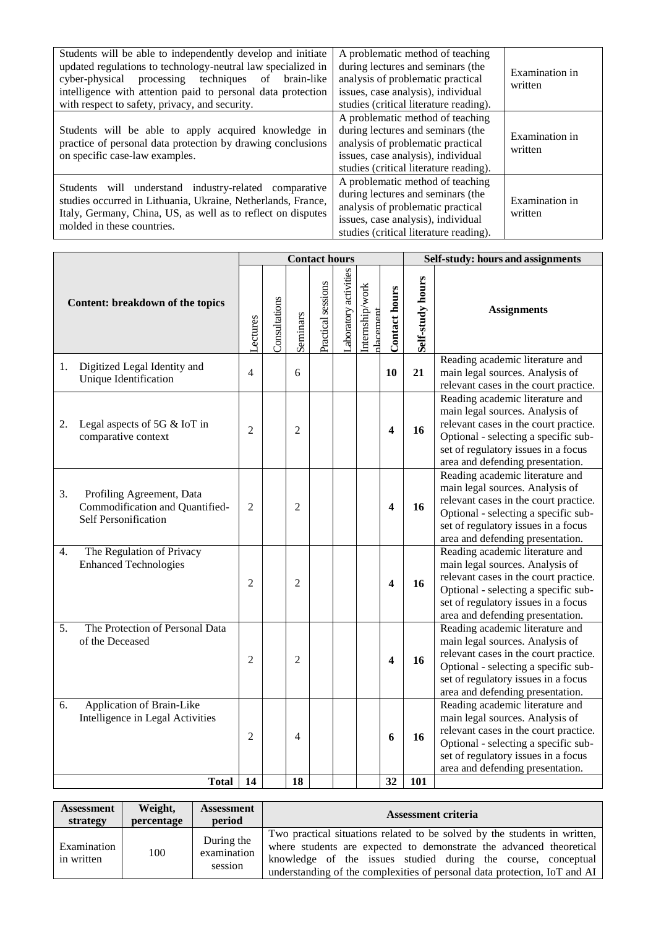| Students will be able to independently develop and initiate<br>updated regulations to technology-neutral law specialized in<br>cyber-physical<br>processing techniques of<br>brain-like<br>intelligence with attention paid to personal data protection<br>with respect to safety, privacy, and security. | A problematic method of teaching<br>during lectures and seminars (the<br>analysis of problematic practical<br>issues, case analysis), individual<br>studies (critical literature reading). | Examination in<br>written |
|-----------------------------------------------------------------------------------------------------------------------------------------------------------------------------------------------------------------------------------------------------------------------------------------------------------|--------------------------------------------------------------------------------------------------------------------------------------------------------------------------------------------|---------------------------|
| Students will be able to apply acquired knowledge in<br>practice of personal data protection by drawing conclusions<br>on specific case-law examples.                                                                                                                                                     | A problematic method of teaching<br>during lectures and seminars (the<br>analysis of problematic practical<br>issues, case analysis), individual<br>studies (critical literature reading). | Examination in<br>written |
| Students will understand industry-related comparative<br>studies occurred in Lithuania, Ukraine, Netherlands, France,<br>Italy, Germany, China, US, as well as to reflect on disputes<br>molded in these countries.                                                                                       | A problematic method of teaching<br>during lectures and seminars (the<br>analysis of problematic practical<br>issues, case analysis), individual<br>studies (critical literature reading). | Examination in<br>written |

|                                                                                            |                | <b>Contact hours</b> |                |                    |                      |                              |                         | Self-study: hours and assignments |                                                                                                                                                                                                                                |  |
|--------------------------------------------------------------------------------------------|----------------|----------------------|----------------|--------------------|----------------------|------------------------------|-------------------------|-----------------------------------|--------------------------------------------------------------------------------------------------------------------------------------------------------------------------------------------------------------------------------|--|
| Content: breakdown of the topics                                                           |                | Consultations        | Seminars       | Practical sessions | aboratory activities | Internship/work<br>placement | <b>Contact hours</b>    | Self-study hours                  | <b>Assignments</b>                                                                                                                                                                                                             |  |
| Digitized Legal Identity and<br>1.<br>Unique Identification                                | 4              |                      | 6              |                    |                      |                              | 10                      | 21                                | Reading academic literature and<br>main legal sources. Analysis of<br>relevant cases in the court practice.                                                                                                                    |  |
| Legal aspects of 5G & IoT in<br>2.<br>comparative context                                  | $\overline{2}$ |                      | $\overline{2}$ |                    |                      |                              | $\overline{\mathbf{4}}$ | 16                                | Reading academic literature and<br>main legal sources. Analysis of<br>relevant cases in the court practice.<br>Optional - selecting a specific sub-<br>set of regulatory issues in a focus<br>area and defending presentation. |  |
| 3.<br>Profiling Agreement, Data<br>Commodification and Quantified-<br>Self Personification | $\overline{2}$ |                      | $\overline{2}$ |                    |                      |                              | $\boldsymbol{4}$        | 16                                | Reading academic literature and<br>main legal sources. Analysis of<br>relevant cases in the court practice.<br>Optional - selecting a specific sub-<br>set of regulatory issues in a focus<br>area and defending presentation. |  |
| The Regulation of Privacy<br>4.<br><b>Enhanced Technologies</b>                            | $\overline{2}$ |                      | $\overline{c}$ |                    |                      |                              | 4                       | 16                                | Reading academic literature and<br>main legal sources. Analysis of<br>relevant cases in the court practice.<br>Optional - selecting a specific sub-<br>set of regulatory issues in a focus<br>area and defending presentation. |  |
| The Protection of Personal Data<br>5.<br>of the Deceased                                   | 2              |                      | $\overline{2}$ |                    |                      |                              | 4                       | 16                                | Reading academic literature and<br>main legal sources. Analysis of<br>relevant cases in the court practice.<br>Optional - selecting a specific sub-<br>set of regulatory issues in a focus<br>area and defending presentation. |  |
| Application of Brain-Like<br>6.<br>Intelligence in Legal Activities<br><b>Total</b>        | 2<br>14        |                      | 4<br>18        |                    |                      |                              | 6<br>32                 | 16<br>101                         | Reading academic literature and<br>main legal sources. Analysis of<br>relevant cases in the court practice.<br>Optional - selecting a specific sub-<br>set of regulatory issues in a focus<br>area and defending presentation. |  |
|                                                                                            |                |                      |                |                    |                      |                              |                         |                                   |                                                                                                                                                                                                                                |  |

| <b>Assessment</b>         | Weight,    | <b>Assessment</b>                    | <b>Assessment criteria</b>                                                                                                                                                                                                                                                                     |
|---------------------------|------------|--------------------------------------|------------------------------------------------------------------------------------------------------------------------------------------------------------------------------------------------------------------------------------------------------------------------------------------------|
| strategy                  | percentage | period                               |                                                                                                                                                                                                                                                                                                |
| Examination<br>in written | 100        | During the<br>examination<br>session | Two practical situations related to be solved by the students in written,<br>where students are expected to demonstrate the advanced theoretical<br>knowledge of the issues studied during the course, conceptual<br>understanding of the complexities of personal data protection, IoT and AI |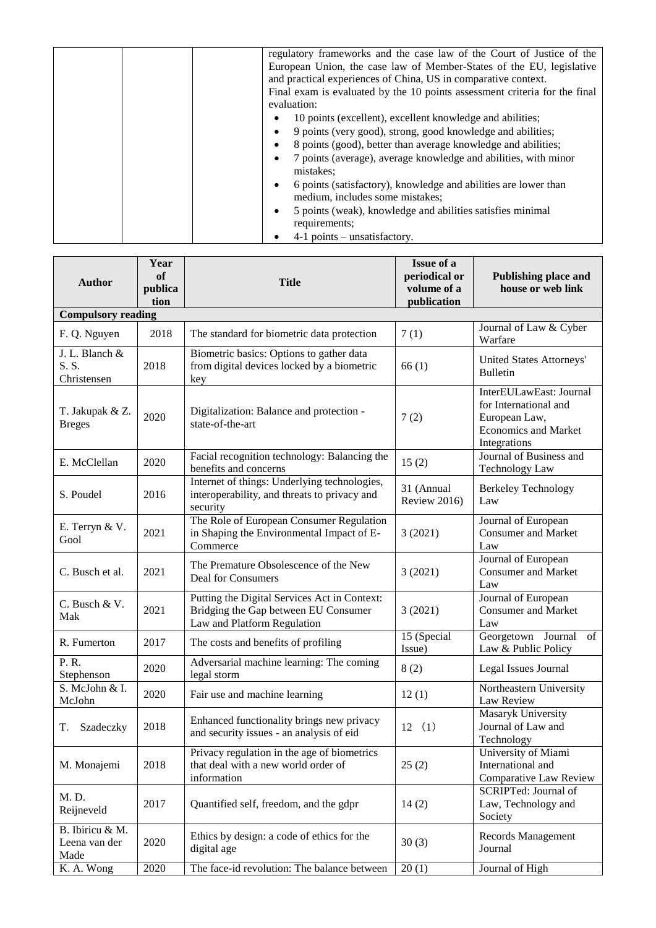|  | regulatory frameworks and the case law of the Court of Justice of the        |
|--|------------------------------------------------------------------------------|
|  | European Union, the case law of Member-States of the EU, legislative         |
|  | and practical experiences of China, US in comparative context.               |
|  | Final exam is evaluated by the 10 points assessment criteria for the final   |
|  | evaluation:                                                                  |
|  | 10 points (excellent), excellent knowledge and abilities;<br>٠               |
|  | 9 points (very good), strong, good knowledge and abilities;<br>$\bullet$     |
|  | 8 points (good), better than average knowledge and abilities;<br>$\bullet$   |
|  | 7 points (average), average knowledge and abilities, with minor<br>$\bullet$ |
|  | mistakes:                                                                    |
|  | 6 points (satisfactory), knowledge and abilities are lower than<br>٠         |
|  | medium, includes some mistakes;                                              |
|  | 5 points (weak), knowledge and abilities satisfies minimal<br>٠              |
|  | requirements;                                                                |
|  | $4-1$ points – unsatisfactory.                                               |

| <b>Author</b>                            | Year<br>of<br>publica<br>tion | <b>Title</b>                                                                                                        | <b>Issue of a</b><br>periodical or<br>volume of a<br>publication | <b>Publishing place and</b><br>house or web link                                                                 |  |  |  |  |  |
|------------------------------------------|-------------------------------|---------------------------------------------------------------------------------------------------------------------|------------------------------------------------------------------|------------------------------------------------------------------------------------------------------------------|--|--|--|--|--|
| <b>Compulsory reading</b>                |                               |                                                                                                                     |                                                                  |                                                                                                                  |  |  |  |  |  |
| F. Q. Nguyen                             | 2018                          | The standard for biometric data protection                                                                          | 7(1)                                                             | Journal of Law & Cyber<br>Warfare                                                                                |  |  |  |  |  |
| J. L. Blanch &<br>S. S.<br>Christensen   | 2018                          | Biometric basics: Options to gather data<br>from digital devices locked by a biometric<br>key                       | 66(1)                                                            | United States Attorneys'<br><b>Bulletin</b>                                                                      |  |  |  |  |  |
| T. Jakupak & Z.<br><b>Breges</b>         | 2020                          | Digitalization: Balance and protection -<br>state-of-the-art                                                        | 7(2)                                                             | InterEULawEast: Journal<br>for International and<br>European Law,<br><b>Economics and Market</b><br>Integrations |  |  |  |  |  |
| E. McClellan                             | 2020                          | Facial recognition technology: Balancing the<br>benefits and concerns                                               | 15(2)                                                            | Journal of Business and<br><b>Technology Law</b>                                                                 |  |  |  |  |  |
| S. Poudel                                | 2016                          | Internet of things: Underlying technologies,<br>interoperability, and threats to privacy and<br>security            | 31 (Annual<br>Review 2016)                                       | <b>Berkeley Technology</b><br>Law                                                                                |  |  |  |  |  |
| E. Terryn & V.<br>Gool                   | 2021                          | The Role of European Consumer Regulation<br>in Shaping the Environmental Impact of E-<br>Commerce                   | 3(2021)                                                          | Journal of European<br><b>Consumer and Market</b><br>Law                                                         |  |  |  |  |  |
| C. Busch et al.                          | 2021                          | The Premature Obsolescence of the New<br><b>Deal for Consumers</b>                                                  | 3(2021)                                                          | Journal of European<br><b>Consumer and Market</b><br>Law                                                         |  |  |  |  |  |
| C. Busch & V.<br>Mak                     | 2021                          | Putting the Digital Services Act in Context:<br>Bridging the Gap between EU Consumer<br>Law and Platform Regulation | 3(2021)                                                          | Journal of European<br><b>Consumer and Market</b><br>Law                                                         |  |  |  |  |  |
| R. Fumerton                              | 2017                          | The costs and benefits of profiling                                                                                 | 15 (Special<br>Issue)                                            | Georgetown Journal of<br>Law & Public Policy                                                                     |  |  |  |  |  |
| P. R.<br>Stephenson                      | 2020                          | Adversarial machine learning: The coming<br>legal storm                                                             | 8(2)                                                             | Legal Issues Journal                                                                                             |  |  |  |  |  |
| S. McJohn & I.<br>McJohn                 | 2020                          | Fair use and machine learning                                                                                       | 12(1)                                                            | Northeastern University<br>Law Review                                                                            |  |  |  |  |  |
| Szadeczky<br>T.                          | 2018                          | Enhanced functionality brings new privacy<br>and security issues - an analysis of eid                               | 12<br>(1)                                                        | Masaryk University<br>Journal of Law and<br>Technology                                                           |  |  |  |  |  |
| M. Monajemi                              | 2018                          | Privacy regulation in the age of biometrics<br>that deal with a new world order of<br>information                   | 25(2)                                                            | University of Miami<br>International and<br>Comparative Law Review                                               |  |  |  |  |  |
| M. D.<br>Reijneveld                      | 2017                          | Quantified self, freedom, and the gdpr                                                                              | 14(2)                                                            | SCRIPTed: Journal of<br>Law, Technology and<br>Society                                                           |  |  |  |  |  |
| B. Ibiricu & M.<br>Leena van der<br>Made | 2020                          | Ethics by design: a code of ethics for the<br>digital age                                                           | 30(3)                                                            | Records Management<br>Journal                                                                                    |  |  |  |  |  |
| K. A. Wong                               | 2020                          | The face-id revolution: The balance between                                                                         | 20(1)                                                            | Journal of High                                                                                                  |  |  |  |  |  |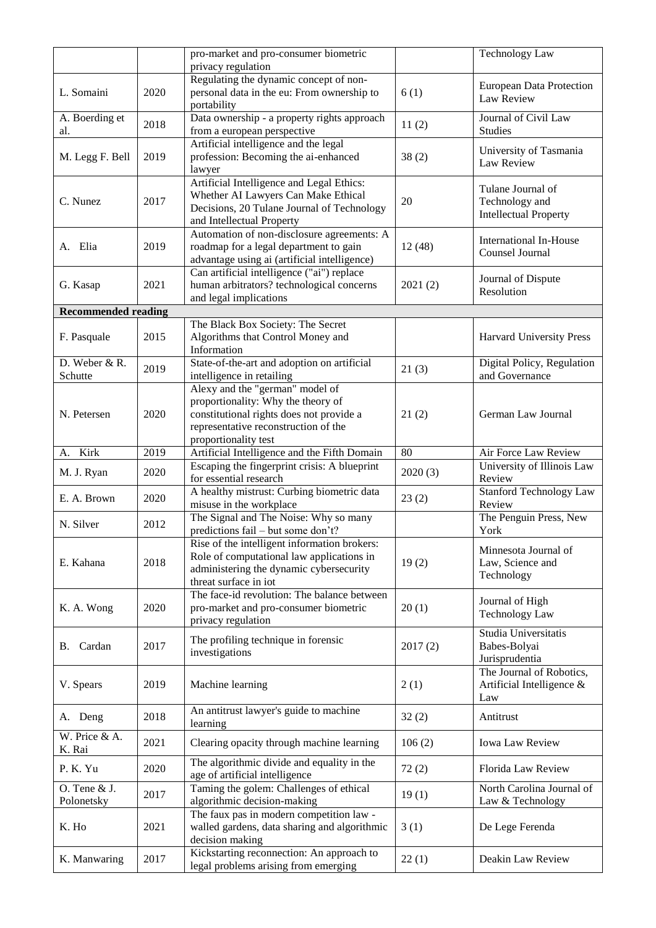|                             |      | pro-market and pro-consumer biometric                                                                                                                                             |         | <b>Technology Law</b>                                               |
|-----------------------------|------|-----------------------------------------------------------------------------------------------------------------------------------------------------------------------------------|---------|---------------------------------------------------------------------|
|                             |      | privacy regulation                                                                                                                                                                |         |                                                                     |
| L. Somaini                  | 2020 | Regulating the dynamic concept of non-<br>personal data in the eu: From ownership to<br>portability                                                                               | 6(1)    | <b>European Data Protection</b><br>Law Review                       |
| A. Boerding et<br>al.       | 2018 | Data ownership - a property rights approach<br>from a european perspective                                                                                                        | 11(2)   | Journal of Civil Law<br>Studies                                     |
| M. Legg F. Bell             | 2019 | Artificial intelligence and the legal<br>profession: Becoming the ai-enhanced<br>lawyer                                                                                           | 38(2)   | University of Tasmania<br>Law Review                                |
| C. Nunez                    | 2017 | Artificial Intelligence and Legal Ethics:<br>Whether AI Lawyers Can Make Ethical<br>Decisions, 20 Tulane Journal of Technology<br>and Intellectual Property                       | 20      | Tulane Journal of<br>Technology and<br><b>Intellectual Property</b> |
| A. Elia                     | 2019 | Automation of non-disclosure agreements: A<br>roadmap for a legal department to gain<br>advantage using ai (artificial intelligence)                                              | 12(48)  | <b>International In-House</b><br>Counsel Journal                    |
| G. Kasap                    | 2021 | Can artificial intelligence ("ai") replace<br>human arbitrators? technological concerns<br>and legal implications                                                                 | 2021(2) | Journal of Dispute<br>Resolution                                    |
| <b>Recommended reading</b>  |      |                                                                                                                                                                                   |         |                                                                     |
| F. Pasquale                 | 2015 | The Black Box Society: The Secret<br>Algorithms that Control Money and<br>Information                                                                                             |         | <b>Harvard University Press</b>                                     |
| D. Weber & R.<br>Schutte    | 2019 | State-of-the-art and adoption on artificial<br>intelligence in retailing                                                                                                          | 21(3)   | Digital Policy, Regulation<br>and Governance                        |
| N. Petersen                 | 2020 | Alexy and the "german" model of<br>proportionality: Why the theory of<br>constitutional rights does not provide a<br>representative reconstruction of the<br>proportionality test | 21(2)   | German Law Journal                                                  |
| A. Kirk                     | 2019 | Artificial Intelligence and the Fifth Domain                                                                                                                                      | 80      | Air Force Law Review                                                |
| M. J. Ryan                  | 2020 | Escaping the fingerprint crisis: A blueprint<br>for essential research                                                                                                            | 2020(3) | University of Illinois Law<br>Review                                |
| E. A. Brown                 | 2020 | A healthy mistrust: Curbing biometric data<br>misuse in the workplace                                                                                                             | 23(2)   | <b>Stanford Technology Law</b><br>Review                            |
| N. Silver                   | 2012 | The Signal and The Noise: Why so many<br>predictions fail – but some don't?                                                                                                       |         | The Penguin Press, New<br>York                                      |
| E. Kahana                   | 2018 | Rise of the intelligent information brokers:<br>Role of computational law applications in<br>administering the dynamic cybersecurity<br>threat surface in iot                     | 19(2)   | Minnesota Journal of<br>Law, Science and<br>Technology              |
| K. A. Wong                  | 2020 | The face-id revolution: The balance between<br>pro-market and pro-consumer biometric<br>privacy regulation                                                                        | 20(1)   | Journal of High<br><b>Technology Law</b>                            |
| B. Cardan                   | 2017 | The profiling technique in forensic<br>investigations                                                                                                                             | 2017(2) | Studia Universitatis<br>Babes-Bolyai<br>Jurisprudentia              |
| V. Spears                   | 2019 | Machine learning                                                                                                                                                                  | 2(1)    | The Journal of Robotics,<br>Artificial Intelligence &<br>Law        |
| A. Deng                     | 2018 | An antitrust lawyer's guide to machine<br>learning                                                                                                                                | 32(2)   | Antitrust                                                           |
| W. Price & A.<br>K. Rai     | 2021 | Clearing opacity through machine learning                                                                                                                                         | 106(2)  | <b>Iowa Law Review</b>                                              |
| P.K.Yu                      | 2020 | The algorithmic divide and equality in the<br>age of artificial intelligence                                                                                                      | 72(2)   | Florida Law Review                                                  |
| O. Tene $&J.$<br>Polonetsky | 2017 | Taming the golem: Challenges of ethical<br>algorithmic decision-making                                                                                                            | 19(1)   | North Carolina Journal of<br>Law & Technology                       |
| K. Ho                       | 2021 | The faux pas in modern competition law -<br>walled gardens, data sharing and algorithmic<br>decision making                                                                       | 3(1)    | De Lege Ferenda                                                     |
| K. Manwaring                | 2017 | Kickstarting reconnection: An approach to<br>legal problems arising from emerging                                                                                                 | 22(1)   | Deakin Law Review                                                   |